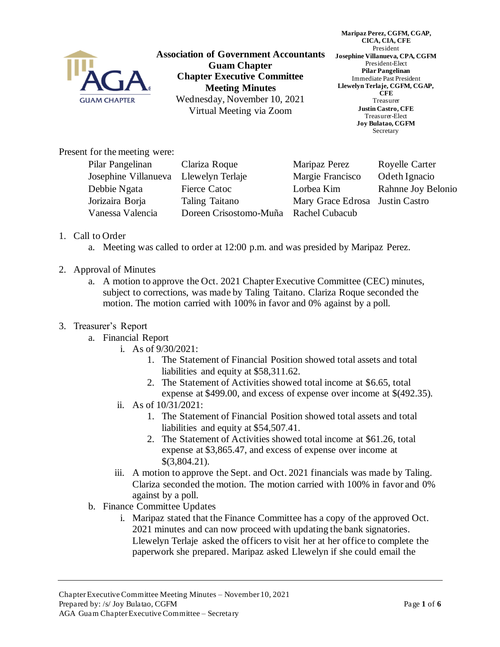

**Association of Government Accountants Guam Chapter Chapter Executive Committee Meeting Minutes** Wednesday, November 10, 2021 Virtual Meeting via Zoom

**Maripaz Perez, CGFM, CGAP, CICA, CIA, CFE** President **Josephine Villanueva, CPA, CGFM** President-Elect **Pilar Pangelinan** Immediate Past President **Llewelyn Terlaje, CGFM, CGAP, CFE** Treasurer **Justin Castro, CFE** Treasurer-Elect **Joy Bulatao, CGFM** Secretary

Present for the meeting were:

| Pilar Pangelinan     | Clariza Roque                         | Maripaz Perez                   | Royelle Carter     |
|----------------------|---------------------------------------|---------------------------------|--------------------|
| Josephine Villanueva | Llewelyn Terlaje                      | Margie Francisco                | Odeth Ignacio      |
| Debbie Ngata         | Fierce Catoc                          | Lorbea Kim                      | Rahnne Joy Belonio |
| Jorizaira Borja      | Taling Taitano                        | Mary Grace Edrosa Justin Castro |                    |
| Vanessa Valencia     | Doreen Crisostomo-Muña Rachel Cubacub |                                 |                    |
|                      |                                       |                                 |                    |

- 1. Call to Order
	- a. Meeting was called to order at 12:00 p.m. and was presided by Maripaz Perez.
- 2. Approval of Minutes
	- a. A motion to approve the Oct. 2021 Chapter Executive Committee (CEC) minutes, subject to corrections, was made by Taling Taitano. Clariza Roque seconded the motion. The motion carried with 100% in favor and 0% against by a poll.
- 3. Treasurer's Report
	- a. Financial Report
		- i. As of 9/30/2021:
			- 1. The Statement of Financial Position showed total assets and total liabilities and equity at \$58,311.62.
			- 2. The Statement of Activities showed total income at \$6.65, total expense at \$499.00, and excess of expense over income at \$(492.35).
		- ii. As of 10/31/2021:
			- 1. The Statement of Financial Position showed total assets and total liabilities and equity at \$54,507.41.
			- 2. The Statement of Activities showed total income at \$61.26, total expense at \$3,865.47, and excess of expense over income at \$(3,804.21).
		- iii. A motion to approve the Sept. and Oct. 2021 financials was made by Taling. Clariza seconded the motion. The motion carried with 100% in favor and 0% against by a poll.
	- b. Finance Committee Updates
		- i. Maripaz stated that the Finance Committee has a copy of the approved Oct. 2021 minutes and can now proceed with updating the bank signatories. Llewelyn Terlaje asked the officers to visit her at her office to complete the paperwork she prepared. Maripaz asked Llewelyn if she could email the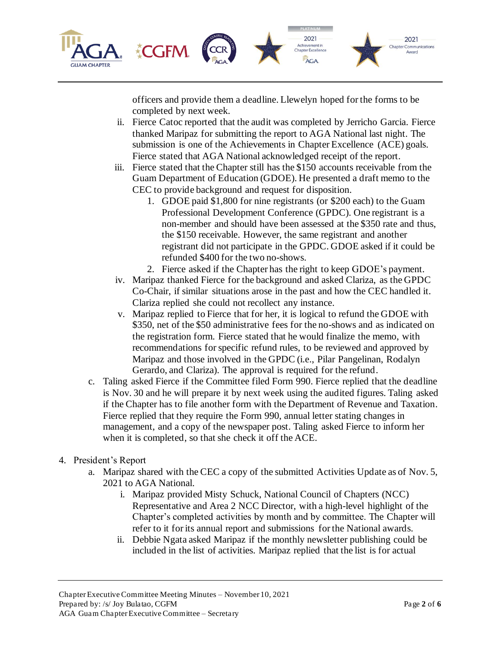

officers and provide them a deadline. Llewelyn hoped for the forms to be completed by next week.

- ii. Fierce Catoc reported that the audit was completed by Jerricho Garcia. Fierce thanked Maripaz for submitting the report to AGA National last night. The submission is one of the Achievements in Chapter Excellence (ACE) goals. Fierce stated that AGA National acknowledged receipt of the report.
- iii. Fierce stated that the Chapter still has the \$150 accounts receivable from the Guam Department of Education (GDOE). He presented a draft memo to the CEC to provide background and request for disposition.
	- 1. GDOE paid \$1,800 for nine registrants (or \$200 each) to the Guam Professional Development Conference (GPDC). One registrant is a non-member and should have been assessed at the \$350 rate and thus, the \$150 receivable. However, the same registrant and another registrant did not participate in the GPDC. GDOE asked if it could be refunded \$400 for the two no-shows.
	- 2. Fierce asked if the Chapter has the right to keep GDOE's payment.
- iv. Maripaz thanked Fierce for the background and asked Clariza, as the GPDC Co-Chair, if similar situations arose in the past and how the CEC handled it. Clariza replied she could not recollect any instance.
- v. Maripaz replied to Fierce that for her, it is logical to refund the GDOE with \$350, net of the \$50 administrative fees for the no-shows and as indicated on the registration form. Fierce stated that he would finalize the memo, with recommendations for specific refund rules, to be reviewed and approved by Maripaz and those involved in the GPDC (i.e., Pilar Pangelinan, Rodalyn Gerardo, and Clariza). The approval is required for the refund.
- c. Taling asked Fierce if the Committee filed Form 990. Fierce replied that the deadline is Nov. 30 and he will prepare it by next week using the audited figures. Taling asked if the Chapter has to file another form with the Department of Revenue and Taxation. Fierce replied that they require the Form 990, annual letter stating changes in management, and a copy of the newspaper post. Taling asked Fierce to inform her when it is completed, so that she check it off the ACE.
- 4. President's Report
	- a. Maripaz shared with the CEC a copy of the submitted Activities Update as of Nov. 5, 2021 to AGA National.
		- i. Maripaz provided Misty Schuck, National Council of Chapters (NCC) Representative and Area 2 NCC Director, with a high-level highlight of the Chapter's completed activities by month and by committee. The Chapter will refer to it for its annual report and submissions for the National awards.
		- ii. Debbie Ngata asked Maripaz if the monthly newsletter publishing could be included in the list of activities. Maripaz replied that the list is for actual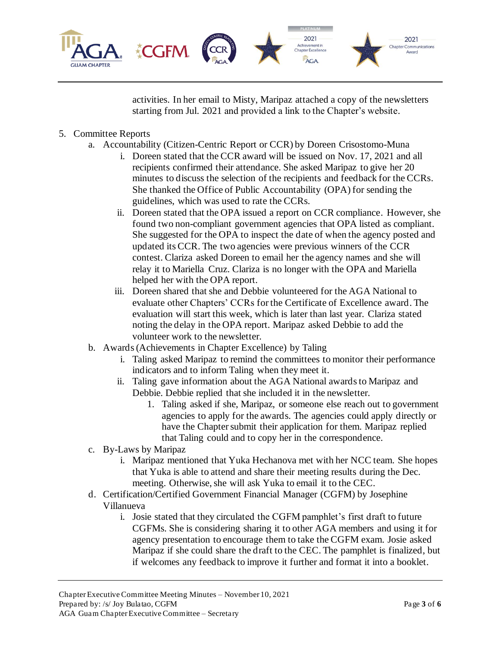

activities. In her email to Misty, Maripaz attached a copy of the newsletters starting from Jul. 2021 and provided a link to the Chapter's website.

## 5. Committee Reports

- a. Accountability (Citizen-Centric Report or CCR) by Doreen Crisostomo-Muna
	- i. Doreen stated that the CCR award will be issued on Nov. 17, 2021 and all recipients confirmed their attendance. She asked Maripaz to give her 20 minutes to discuss the selection of the recipients and feedback for the CCRs. She thanked the Office of Public Accountability (OPA) for sending the guidelines, which was used to rate the CCRs.
	- ii. Doreen stated that the OPA issued a report on CCR compliance. However, she found two non-compliant government agencies that OPA listed as compliant. She suggested for the OPA to inspect the date of when the agency posted and updated its CCR. The two agencies were previous winners of the CCR contest. Clariza asked Doreen to email her the agency names and she will relay it to Mariella Cruz. Clariza is no longer with the OPA and Mariella helped her with the OPA report.
	- iii. Doreen shared that she and Debbie volunteered for the AGA National to evaluate other Chapters' CCRs for the Certificate of Excellence award. The evaluation will start this week, which is later than last year. Clariza stated noting the delay in the OPA report. Maripaz asked Debbie to add the volunteer work to the newsletter.
- b. Awards (Achievements in Chapter Excellence) by Taling
	- i. Taling asked Maripaz to remind the committees to monitor their performance indicators and to inform Taling when they meet it.
	- ii. Taling gave information about the AGA National awards to Maripaz and Debbie. Debbie replied that she included it in the newsletter.
		- 1. Taling asked if she, Maripaz, or someone else reach out to government agencies to apply for the awards. The agencies could apply directly or have the Chapter submit their application for them. Maripaz replied that Taling could and to copy her in the correspondence.
- c. By-Laws by Maripaz
	- i. Maripaz mentioned that Yuka Hechanova met with her NCC team. She hopes that Yuka is able to attend and share their meeting results during the Dec. meeting. Otherwise, she will ask Yuka to email it to the CEC.
- d. Certification/Certified Government Financial Manager (CGFM) by Josephine Villanueva
	- i. Josie stated that they circulated the CGFM pamphlet's first draft to future CGFMs. She is considering sharing it to other AGA members and using it for agency presentation to encourage them to take the CGFM exam. Josie asked Maripaz if she could share the draft to the CEC. The pamphlet is finalized, but if welcomes any feedback to improve it further and format it into a booklet.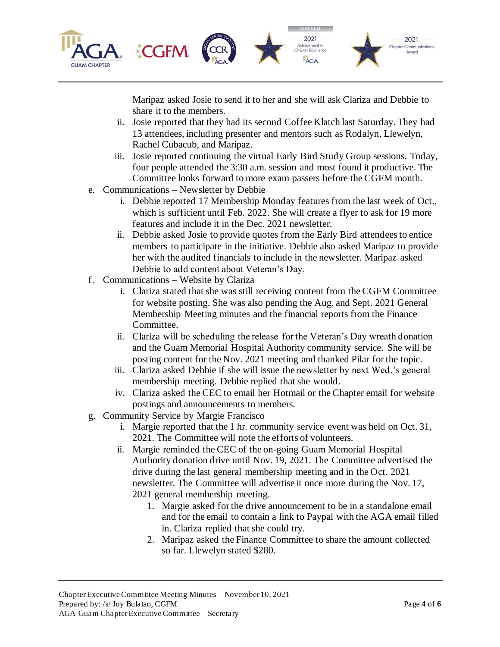

Maripaz asked Josie to send it to her and she will ask Clariza and Debbie to share it to the members.

- ii. Josie reported that they had its second Coffee Klatch last Saturday. They had 13 attendees, including presenter and mentors such as Rodalyn, Llewelyn, Rachel Cubacub, and Maripaz.
- iii. Josie reported continuing the virtual Early Bird Study Group sessions. Today, four people attended the 3:30 a.m. session and most found it productive. The Committee looks forward to more exam passers before the CGFM month.
- e. Communications Newsletter by Debbie
	- i. Debbie reported 17 Membership Monday features from the last week of Oct., which is sufficient until Feb. 2022. She will create a flyer to ask for 19 more features and include it in the Dec. 2021 newsletter.
	- ii. Debbie asked Josie to provide quotes from the Early Bird attendees to entice members to participate in the initiative. Debbie also asked Maripaz to provide her with the audited financials to include in the newsletter. Maripaz asked Debbie to add content about Veteran's Day.
- f. Communications Website by Clariza
	- i. Clariza stated that she was still receiving content from the CGFM Committee for website posting. She was also pending the Aug. and Sept. 2021 General Membership Meeting minutes and the financial reports from the Finance Committee.
	- ii. Clariza will be scheduling the release for the Veteran's Day wreath donation and the Guam Memorial Hospital Authority community service. She will be posting content for the Nov. 2021 meeting and thanked Pilar for the topic.
	- iii. Clariza asked Debbie if she will issue the newsletter by next Wed.'s general membership meeting. Debbie replied that she would.
	- iv. Clariza asked the CEC to email her Hotmail or the Chapter email for website postings and announcements to members.
- g. Community Service by Margie Francisco
	- i. Margie reported that the 1 hr. community service event was held on Oct. 31, 2021. The Committee will note the efforts of volunteers.
	- ii. Margie reminded the CEC of the on-going Guam Memorial Hospital Authority donation drive until Nov. 19, 2021. The Committee advertised the drive during the last general membership meeting and in the Oct. 2021 newsletter. The Committee will advertise it once more during the Nov. 17, 2021 general membership meeting.
		- 1. Margie asked for the drive announcement to be in a standalone email and for the email to contain a link to Paypal with the AGA email filled in. Clariza replied that she could try.
		- 2. Maripaz asked the Finance Committee to share the amount collected so far. Llewelyn stated \$280.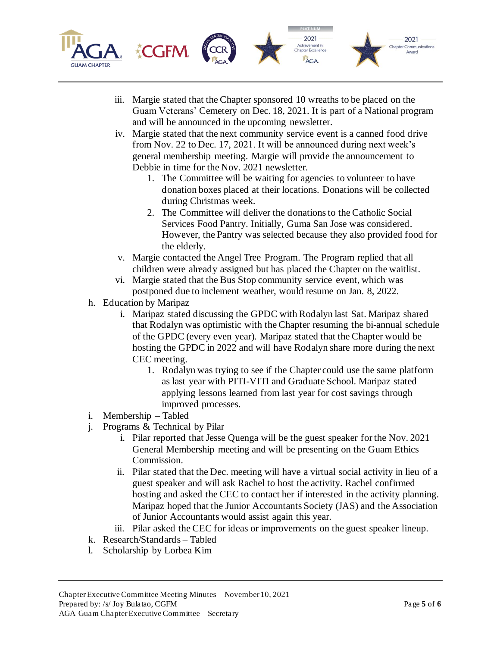

- iii. Margie stated that the Chapter sponsored 10 wreaths to be placed on the Guam Veterans' Cemetery on Dec. 18, 2021. It is part of a National program and will be announced in the upcoming newsletter.
- iv. Margie stated that the next community service event is a canned food drive from Nov. 22 to Dec. 17, 2021. It will be announced during next week's general membership meeting. Margie will provide the announcement to Debbie in time for the Nov. 2021 newsletter.
	- 1. The Committee will be waiting for agencies to volunteer to have donation boxes placed at their locations. Donations will be collected during Christmas week.
	- 2. The Committee will deliver the donations to the Catholic Social Services Food Pantry. Initially, Guma San Jose was considered. However, the Pantry was selected because they also provided food for the elderly.
- v. Margie contacted the Angel Tree Program. The Program replied that all children were already assigned but has placed the Chapter on the waitlist.
- vi. Margie stated that the Bus Stop community service event, which was postponed due to inclement weather, would resume on Jan. 8, 2022.
- h. Education by Maripaz
	- i. Maripaz stated discussing the GPDC with Rodalyn last Sat. Maripaz shared that Rodalyn was optimistic with the Chapter resuming the bi-annual schedule of the GPDC (every even year). Maripaz stated that the Chapter would be hosting the GPDC in 2022 and will have Rodalyn share more during the next CEC meeting.
		- 1. Rodalyn was trying to see if the Chapter could use the same platform as last year with PITI-VITI and Graduate School. Maripaz stated applying lessons learned from last year for cost savings through improved processes.
- i. Membership Tabled
- j. Programs & Technical by Pilar
	- i. Pilar reported that Jesse Quenga will be the guest speaker for the Nov. 2021 General Membership meeting and will be presenting on the Guam Ethics Commission.
	- ii. Pilar stated that the Dec. meeting will have a virtual social activity in lieu of a guest speaker and will ask Rachel to host the activity. Rachel confirmed hosting and asked the CEC to contact her if interested in the activity planning. Maripaz hoped that the Junior Accountants Society (JAS) and the Association of Junior Accountants would assist again this year.
	- iii. Pilar asked the CEC for ideas or improvements on the guest speaker lineup.
- k. Research/Standards Tabled
- l. Scholarship by Lorbea Kim